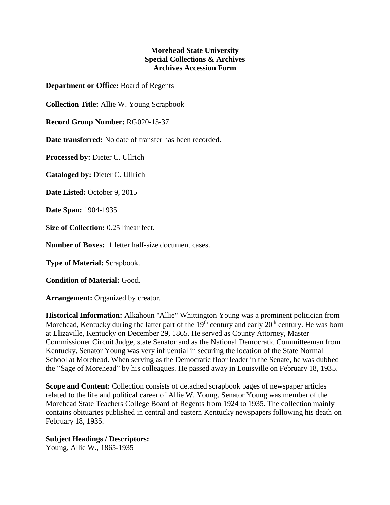## **Morehead State University Special Collections & Archives Archives Accession Form**

**Department or Office:** Board of Regents

**Collection Title:** Allie W. Young Scrapbook

**Record Group Number:** RG020-15-37

**Date transferred:** No date of transfer has been recorded.

**Processed by:** Dieter C. Ullrich

**Cataloged by:** Dieter C. Ullrich

**Date Listed:** October 9, 2015

**Date Span:** 1904-1935

**Size of Collection:** 0.25 linear feet.

**Number of Boxes:** 1 letter half-size document cases.

**Type of Material:** Scrapbook.

**Condition of Material:** Good.

**Arrangement:** Organized by creator.

**Historical Information:** Alkahoun "Allie" Whittington Young was a prominent politician from Morehead, Kentucky during the latter part of the  $19<sup>th</sup>$  century and early  $20<sup>th</sup>$  century. He was born at Elizaville, Kentucky on December 29, 1865. He served as County Attorney, Master Commissioner Circuit Judge, state Senator and as the National Democratic Committeeman from Kentucky. Senator Young was very influential in securing the location of the State Normal School at Morehead. When serving as the Democratic floor leader in the Senate, he was dubbed the "Sage of Morehead" by his colleagues. He passed away in Louisville on February 18, 1935.

**Scope and Content:** Collection consists of detached scrapbook pages of newspaper articles related to the life and political career of Allie W. Young. Senator Young was member of the Morehead State Teachers College Board of Regents from 1924 to 1935. The collection mainly contains obituaries published in central and eastern Kentucky newspapers following his death on February 18, 1935.

## **Subject Headings / Descriptors:**

Young, Allie W., 1865-1935